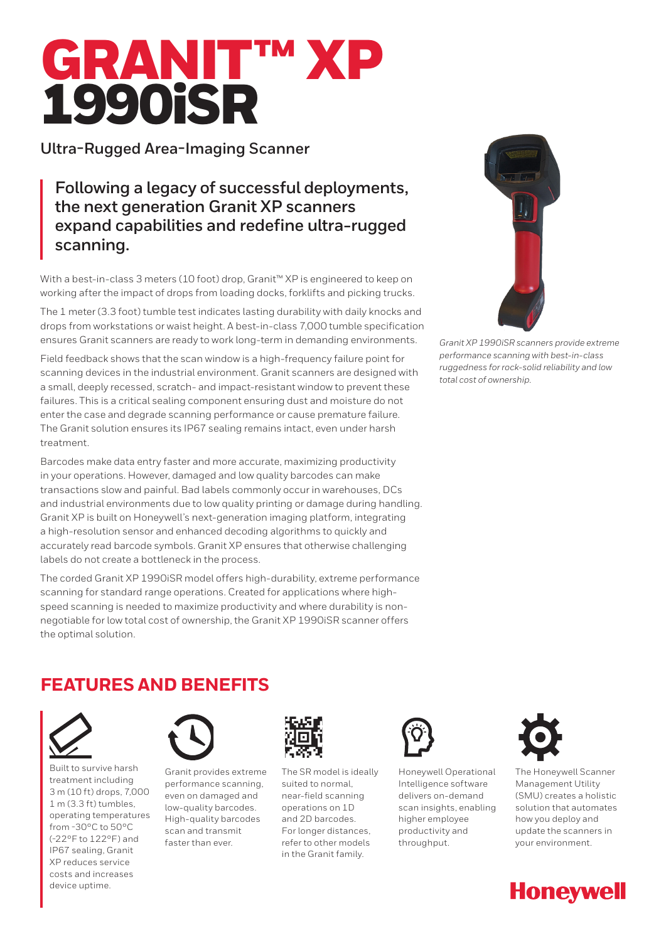# GRANIT™ 1990iSR

**Ultra-Rugged Area-Imaging Scanner**

**Following a legacy of successful deployments, the next generation Granit XP scanners expand capabilities and redefine ultra-rugged scanning.** 

With a best-in-class 3 meters (10 foot) drop, Granit™ XP is engineered to keep on working after the impact of drops from loading docks, forklifts and picking trucks.

The 1 meter (3.3 foot) tumble test indicates lasting durability with daily knocks and drops from workstations or waist height. A best-in-class 7,000 tumble specification ensures Granit scanners are ready to work long-term in demanding environments.

Field feedback shows that the scan window is a high-frequency failure point for scanning devices in the industrial environment. Granit scanners are designed with a small, deeply recessed, scratch- and impact-resistant window to prevent these failures. This is a critical sealing component ensuring dust and moisture do not enter the case and degrade scanning performance or cause premature failure. The Granit solution ensures its IP67 sealing remains intact, even under harsh treatment.

Barcodes make data entry faster and more accurate, maximizing productivity in your operations. However, damaged and low quality barcodes can make transactions slow and painful. Bad labels commonly occur in warehouses, DCs and industrial environments due to low quality printing or damage during handling. Granit XP is built on Honeywell's next-generation imaging platform, integrating a high-resolution sensor and enhanced decoding algorithms to quickly and accurately read barcode symbols. Granit XP ensures that otherwise challenging labels do not create a bottleneck in the process.

The corded Granit XP 1990iSR model offers high-durability, extreme performance scanning for standard range operations. Created for applications where highspeed scanning is needed to maximize productivity and where durability is nonnegotiable for low total cost of ownership, the Granit XP 1990iSR scanner offers the optimal solution.



*Granit XP 1990iSR scanners provide extreme performance scanning with best-in-class ruggedness for rock-solid reliability and low total cost of ownership.*

## **FEATURES AND BENEFITS**



Built to survive harsh treatment including 3 m (10 ft) drops, 7,000 1 m (3.3 ft) tumbles, operating temperatures from -30°C to 50°C (-22°F to 122°F) and IP67 sealing, Granit XP reduces service costs and increases device uptime.



Granit provides extreme performance scanning, even on damaged and low-quality barcodes. High-quality barcodes scan and transmit faster than ever.



The SR model is ideally suited to normal, near-field scanning operations on 1D and 2D barcodes. For longer distances, refer to other models in the Granit family.



Honeywell Operational Intelligence software delivers on-demand scan insights, enabling higher employee productivity and throughput.



The Honeywell Scanner Management Utility (SMU) creates a holistic solution that automates how you deploy and update the scanners in your environment.